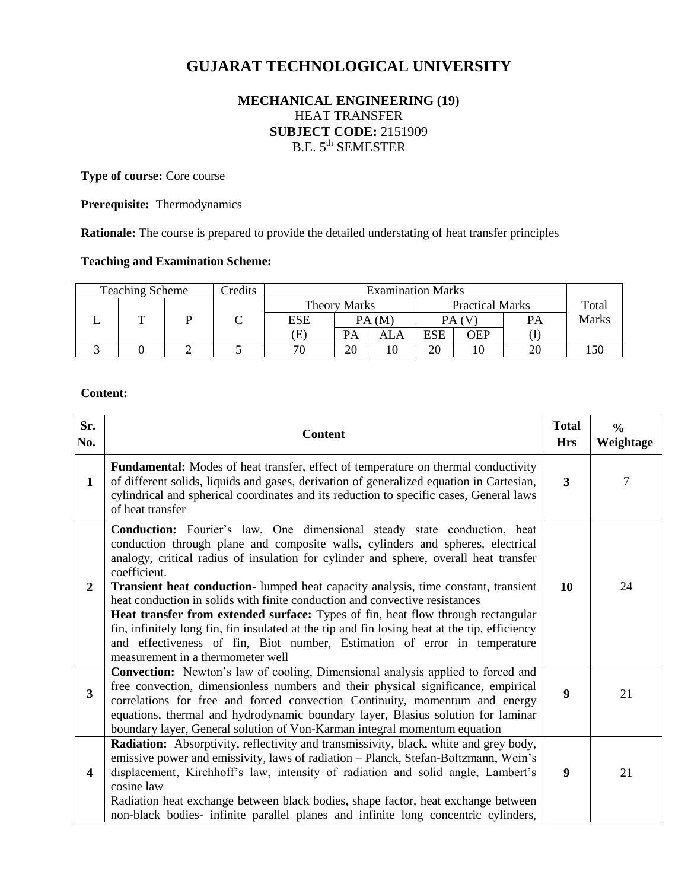# **GUJARAT TECHNOLOGICAL UNIVERSITY**

# **MECHANICAL ENGINEERING (19)** HEAT TRANSFER **SUBJECT CODE:** 2151909 B.E. 5th SEMESTER

**Type of course:** Core course

**Prerequisite:** Thermodynamics

**Rationale:** The course is prepared to provide the detailed understating of heat transfer principles

#### **Teaching and Examination Scheme:**

| <b>Teaching Scheme</b>                        |  | Credits |       |       |     | <b>Examination Marks</b> |     |    |              |
|-----------------------------------------------|--|---------|-------|-------|-----|--------------------------|-----|----|--------------|
| <b>Practical Marks</b><br><b>Theory Marks</b> |  |         | Total |       |     |                          |     |    |              |
|                                               |  |         | ESE   | PA(M) |     | PA (V)                   |     | PА | <b>Marks</b> |
|                                               |  |         | E)    | PА    | ALA | ESE                      | OEP |    |              |
|                                               |  |         | 70    | 20    |     | 20                       |     | oc | 150          |

#### **Content:**

| Sr.<br>No.              | <b>Content</b>                                                                                                                                                                                                                                                                                                                                                                                                                                                                                                                                                                                                                                                                                                                                                 | <b>Total</b><br><b>Hrs</b> | $\frac{6}{6}$<br>Weightage |
|-------------------------|----------------------------------------------------------------------------------------------------------------------------------------------------------------------------------------------------------------------------------------------------------------------------------------------------------------------------------------------------------------------------------------------------------------------------------------------------------------------------------------------------------------------------------------------------------------------------------------------------------------------------------------------------------------------------------------------------------------------------------------------------------------|----------------------------|----------------------------|
| $\mathbf{1}$            | Fundamental: Modes of heat transfer, effect of temperature on thermal conductivity<br>of different solids, liquids and gases, derivation of generalized equation in Cartesian,<br>cylindrical and spherical coordinates and its reduction to specific cases, General laws<br>of heat transfer                                                                                                                                                                                                                                                                                                                                                                                                                                                                  | $\mathbf{3}$               | 7                          |
| $\boldsymbol{2}$        | <b>Conduction:</b> Fourier's law, One dimensional steady state conduction, heat<br>conduction through plane and composite walls, cylinders and spheres, electrical<br>analogy, critical radius of insulation for cylinder and sphere, overall heat transfer<br>coefficient.<br>Transient heat conduction- lumped heat capacity analysis, time constant, transient<br>heat conduction in solids with finite conduction and convective resistances<br><b>Heat transfer from extended surface:</b> Types of fin, heat flow through rectangular<br>fin, infinitely long fin, fin insulated at the tip and fin losing heat at the tip, efficiency<br>and effectiveness of fin, Biot number, Estimation of error in temperature<br>measurement in a thermometer well | 10                         | 24                         |
| $\overline{\mathbf{3}}$ | <b>Convection:</b> Newton's law of cooling, Dimensional analysis applied to forced and<br>free convection, dimensionless numbers and their physical significance, empirical<br>correlations for free and forced convection Continuity, momentum and energy<br>equations, thermal and hydrodynamic boundary layer, Blasius solution for laminar<br>boundary layer, General solution of Von-Karman integral momentum equation                                                                                                                                                                                                                                                                                                                                    | 9                          | 21                         |
| $\overline{\mathbf{4}}$ | <b>Radiation:</b> Absorptivity, reflectivity and transmissivity, black, white and grey body,<br>emissive power and emissivity, laws of radiation - Planck, Stefan-Boltzmann, Wein's<br>displacement, Kirchhoff's law, intensity of radiation and solid angle, Lambert's<br>cosine law<br>Radiation heat exchange between black bodies, shape factor, heat exchange between<br>non-black bodies- infinite parallel planes and infinite long concentric cylinders,                                                                                                                                                                                                                                                                                               | 9                          | 21                         |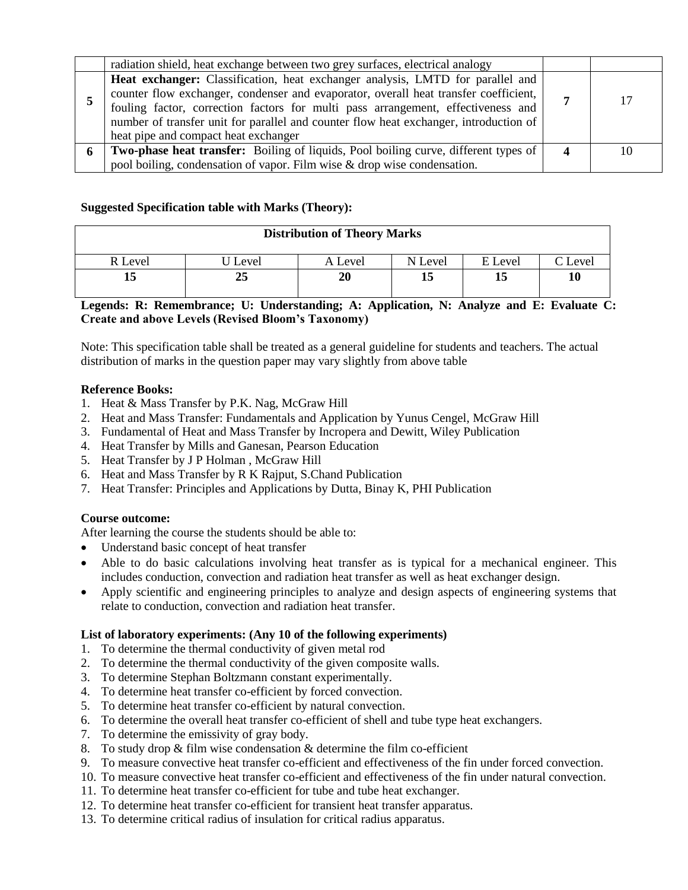| radiation shield, heat exchange between two grey surfaces, electrical analogy                                                                                                                                                                                                                                                                                                               |    |
|---------------------------------------------------------------------------------------------------------------------------------------------------------------------------------------------------------------------------------------------------------------------------------------------------------------------------------------------------------------------------------------------|----|
| Heat exchanger: Classification, heat exchanger analysis, LMTD for parallel and<br>counter flow exchanger, condenser and evaporator, overall heat transfer coefficient,<br>fouling factor, correction factors for multi pass arrangement, effectiveness and<br>number of transfer unit for parallel and counter flow heat exchanger, introduction of<br>heat pipe and compact heat exchanger |    |
| <b>Two-phase heat transfer:</b> Boiling of liquids, Pool boiling curve, different types of                                                                                                                                                                                                                                                                                                  | 10 |
| pool boiling, condensation of vapor. Film wise & drop wise condensation.                                                                                                                                                                                                                                                                                                                    |    |

### **Suggested Specification table with Marks (Theory):**

| R Level | Level    | A Level | N Level | E Level | $\Gamma$ Level |
|---------|----------|---------|---------|---------|----------------|
| ⊥ພ      | ኅድ<br>້⊿ | 20      | ∸       | 13      | 10             |

#### **Legends: R: Remembrance; U: Understanding; A: Application, N: Analyze and E: Evaluate C: Create and above Levels (Revised Bloom's Taxonomy)**

Note: This specification table shall be treated as a general guideline for students and teachers. The actual distribution of marks in the question paper may vary slightly from above table

#### **Reference Books:**

- 1. Heat & Mass Transfer by P.K. Nag, McGraw Hill
- 2. Heat and Mass Transfer: Fundamentals and Application by Yunus Cengel, McGraw Hill
- 3. Fundamental of Heat and Mass Transfer by Incropera and Dewitt, Wiley Publication
- 4. Heat Transfer by Mills and Ganesan, Pearson Education
- 5. Heat Transfer by J P Holman , McGraw Hill
- 6. Heat and Mass Transfer by R K Rajput, S.Chand Publication
- 7. Heat Transfer: Principles and Applications by Dutta, Binay K, PHI Publication

#### **Course outcome:**

After learning the course the students should be able to:

- Understand basic concept of heat transfer
- Able to do basic calculations involving heat transfer as is typical for a mechanical engineer. This includes conduction, convection and radiation heat transfer as well as heat exchanger design.
- Apply scientific and engineering principles to analyze and design aspects of engineering systems that relate to conduction, convection and radiation heat transfer.

#### **List of laboratory experiments: (Any 10 of the following experiments)**

- 1. To determine the thermal conductivity of given metal rod
- 2. To determine the thermal conductivity of the given composite walls.
- 3. To determine Stephan Boltzmann constant experimentally.
- 4. To determine heat transfer co-efficient by forced convection.
- 5. To determine heat transfer co-efficient by natural convection.
- 6. To determine the overall heat transfer co-efficient of shell and tube type heat exchangers.
- 7. To determine the emissivity of gray body.
- 8. To study drop  $&$  film wise condensation  $&$  determine the film co-efficient
- 9. To measure convective heat transfer co-efficient and effectiveness of the fin under forced convection.
- 10. To measure convective heat transfer co-efficient and effectiveness of the fin under natural convection.
- 11. To determine heat transfer co-efficient for tube and tube heat exchanger.
- 12. To determine heat transfer co-efficient for transient heat transfer apparatus.
- 13. To determine critical radius of insulation for critical radius apparatus.